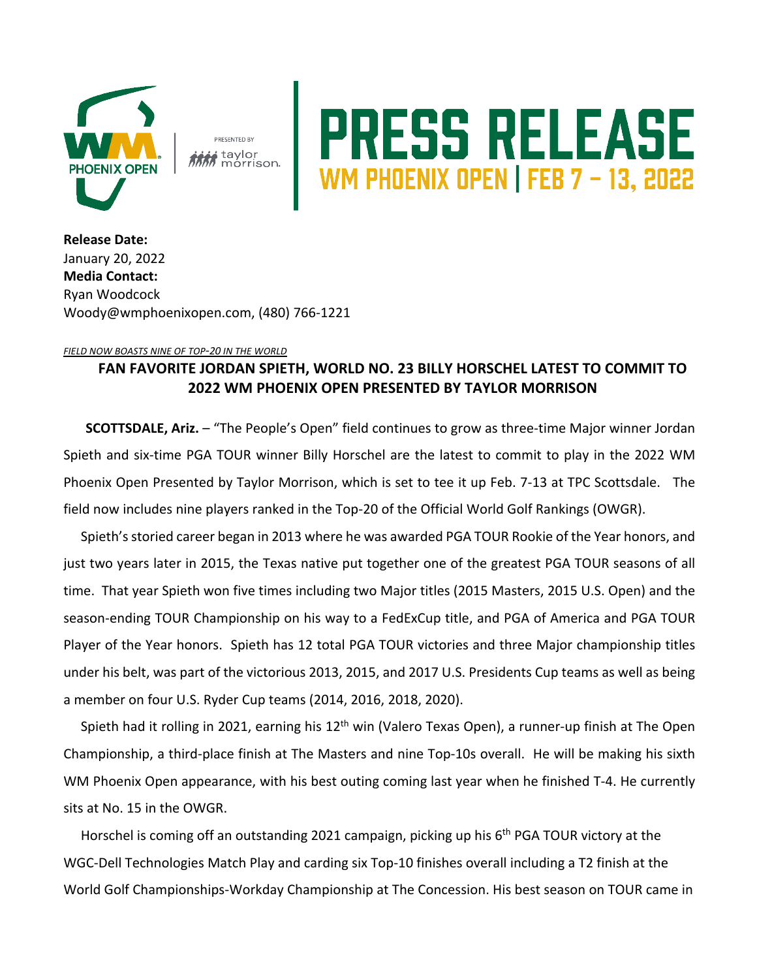

**PRESENTED BY** i taylor morrison

## PRESS RELEASE

**Release Date:**  January 20, 2022 **Media Contact:** Ryan Woodcock Woody@wmphoenixopen.com, (480) 766-1221

## *FIELD NOW BOASTS NINE OF TOP-20 IN THE WORLD*

## **FAN FAVORITE JORDAN SPIETH, WORLD NO. 23 BILLY HORSCHEL LATEST TO COMMIT TO 2022 WM PHOENIX OPEN PRESENTED BY TAYLOR MORRISON**

**SCOTTSDALE, Ariz.** – "The People's Open" field continues to grow as three-time Major winner Jordan Spieth and six-time PGA TOUR winner Billy Horschel are the latest to commit to play in the 2022 WM Phoenix Open Presented by Taylor Morrison, which is set to tee it up Feb. 7-13 at TPC Scottsdale. The field now includes nine players ranked in the Top-20 of the Official World Golf Rankings (OWGR).

Spieth's storied career began in 2013 where he was awarded PGA TOUR Rookie of the Year honors, and just two years later in 2015, the Texas native put together one of the greatest PGA TOUR seasons of all time. That year Spieth won five times including two Major titles (2015 Masters, 2015 U.S. Open) and the season-ending TOUR Championship on his way to a FedExCup title, and PGA of America and PGA TOUR Player of the Year honors. Spieth has 12 total PGA TOUR victories and three Major championship titles under his belt, was part of the victorious 2013, 2015, and 2017 U.S. Presidents Cup teams as well as being a member on four U.S. Ryder Cup teams (2014, 2016, 2018, 2020).

Spieth had it rolling in 2021, earning his  $12<sup>th</sup>$  win (Valero Texas Open), a runner-up finish at The Open Championship, a third-place finish at The Masters and nine Top-10s overall. He will be making his sixth WM Phoenix Open appearance, with his best outing coming last year when he finished T-4. He currently sits at No. 15 in the OWGR.

Horschel is coming off an outstanding 2021 campaign, picking up his 6<sup>th</sup> PGA TOUR victory at the WGC-Dell Technologies Match Play and carding six Top-10 finishes overall including a T2 finish at the World Golf Championships-Workday Championship at The Concession. His best season on TOUR came in